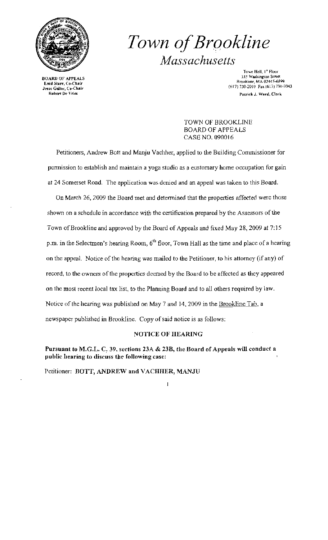

# Town of Brookline *Massachusetts*

Town Hall, I\* Floor 333 Washington Street<br>
800 Enid Starr, Co-Chair<br>
333 Washington Street<br>
817 Brookline, MA 02445-6899<br>
333 Washington Street<br>
817 Brookline, MA 02445-6899<br>
333 Washington Street<br>
817 Brookline, MA 02445-6899<br>
333 Washington Patrick J. Ward, Clerk

> TOWN OF BROOKLINE BOARD OF APPEALS CASE NO. 090016

Petitioners, Andrew Bott and Manju Vachher, applied to the Building Commissioner for permission to establish and maintain a yoga studio as a customary home occupation for gain at 24 Somerset Road. The application was denied and an appeal was taken to this Board.

On March 26, 2009 the Board met and determined that the properties affected were those shown on a schedule in accordance with the certification prepared by the Assessors of the Town of Brookline and approved by the Board of Appeals and fixed May 28, 2009 at 7:15 p.m. in the Selectmen's hearing Room,  $6<sup>th</sup>$  floor, Town Hall as the time and place of a hearing on the appeal. Notice of the hearing was mailed to the Petitioner, to his attorney (if any) of record, to the owners of the propertics deemed by the Board to be affected as they appeared on the most recent local tax list, to the Planning Board and to all others required by Jaw. Notice of the hearing was published on May 7 and 14,2009 in the Brookline Tab, a newspaper published in Brookline. Copy of said notice is as follows:

#### NOTICE OF HEARING

Pursuant to M.G.L. C. 39, sections 23A & 23B, the Board of Appeals will conduct a public hearing to discuss the' following case:

Petitioner: BOTT, ANDREW and VACHHER, MANJU

 $\overline{1}$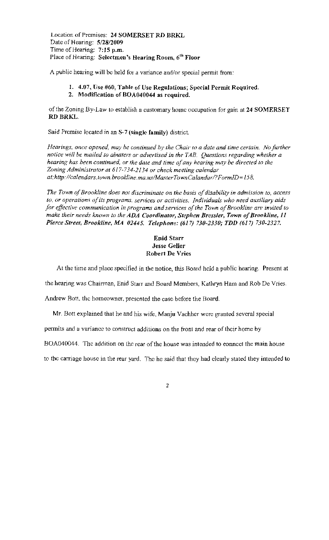Location of Premises: 24 SOMERSET RD BRKL Date of Hearing: *5/28/2009*  Time of Hearing: 7:15 p.m. Place of Hearing: Selectmen's Hearing Room, 6<sup>th</sup> Floor

A public hearing will be held for a variance and/or special permit from:

## 1. 4.07, Use #60, Table of Use Regulations; Special Permit Required.

2. Modification of BOA040044 as required.

of the Zoning By-Law to establish a customary home occupation for gain at  $24$  SOMERSET RD BRKL.

Said Prcmise located in an 5-7 (single family) district.

*Hearings, once opened, may be continued by the Chair to a date and time certain. No further notice will be mailed to abulters or advertised in the TAB. Questions regarding whether a hearing has been continued, or the date and time of any hearing may be directed to the Zoning Administrator at 617-734-2134 or check meeting calendar*  at:http://calendars.town.brookline.ma.us/MasterTownCalandar/?FormID=158.

The Town of Brookline does not discriminate on the basis of disability in admission to, access to, or operations of its programs. services or activities. Individuals who need auxiliary aids *for effective communication in programs and services of the Town of Brookline are invited to make their needs known to the ADA Coordinator, Stephen Bressler, Town of Brookline, 11 Pierce Street, Brookline, M4 02445. Telephone:* (617) *730-2330; TDD* (617) *730-2327.* 

### Enid Starr Jesse Geller Robert De Vries

At the time and place specified in the notice, this Board held a public hearing. Present at

the hearing was Chairman, Enid Starr and Board Members, Kathryn Ham and Rob De Vries.

Andrew Bott, the homeowner, presented the case before the Board.

Mr. Bott explained that he and his wife. Manju Vachher were granted several special

permits and a variance to construct additions on the front and rear of their home by

BOA040044. The addition on the rear of the house was intended to eonnect the main house

to the carriage house in the rear yard. The he said that they had clearly stated they intended to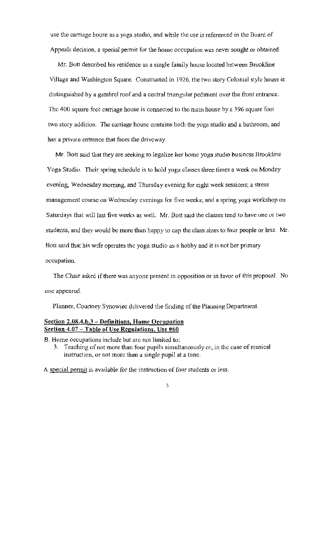use the carriage house as a yoga studio, and while the use is referenced in the Buard of Appeals decision, a special permit for the home occupation was never sought or obtained.

Mr. Bott described bis residence as a single family house located between Brookline Village and Washington Square. Constructed in 1926, the two story Colonial style house is distinguished by a gambrel roof and a central triangular pediment over the front entrance. The 400 square foot carriage house is connected to the main house by a 396 square foot two story addition. The carriage house contains both the yoga studio and a bathroom, and has a private entrance that faces the driveway.

Mr. Bott said that they are seeking to legalize her home yoga studio business Brookline Yoga Studio. Their spring schedule is to hold yoga classes three times a week on Monday evening, Wednesday morning, and Thursday evening for eight week sessions; a stress management course on Wednesday evenings for five weeks; and a spring yoga workshop on Saturdays that will last five weeks as well. Mr. Batt said the classes tend to have one or two students, and they would bc more than happy to cap the class sizes to four people or less. Mr. Batt said that his wife operates the yoga studio as a hobby and it is not her primary occupation.

The Chair asked if there was anyone present in opposition or in favor of this proposal. No onc appeared.

Planner, Courtney Synowiec delivered the finding of the Planning Department.

### Section 2.08.4.b.3 - Definitions, Home Occupation Seetion 4.07 - Table of Use Regulations, Use #60

B. Home occupations include but arc not limited to:

3. Teaching of not more than four pupils simultanoously or, in thc case of musical instruction, or not more than a single pupil at a time.

A special permit is available for the instruction of four students or less.

#### J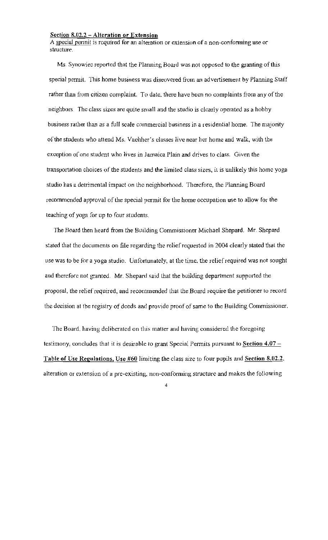#### Section 8.02.2 - Alteration or Extension

A special permit is required for an alteration or extension of a non~confonning use or structure.

Ms. Synowiec reported that the Planning Board was not opposed to the granting of this special permit. This home business was diseovered from an advertisement by Planning Staff rather than from citizen complaint. To date. there have been no complaints from any of the neighbors. The class sizes are quite small and the studio is clearly operated as a hobby business rather than as a full scale commercial business in a residential home. The majority of the students who attend Ms. Vachher's classes live near her home and walk, with the exception of one student who lives in Jamaica Plain and drives to class. Given the transportation choices of the students and the limited class sizes, it is unlikely this home yoga studio has a detrimental impact on the neighborhood. Therefore, the Planning Board recommended approval of the special permit for the home occupation use to allow for the teaching of yoga for up to four students.

The Board then heard from the Building Commissioner Michael Shepard. Mr. Shepard stated that the documents on file regarding the relief requested in 2004 clearly staled that the use was to be for a yoga studio. Unfortunately, at the time, the relief required was not sought and therefore not granted. Mr. Shepard said that the building department supported the proposal, the relief required, and recommended that the Board require the petitioner to record the deeision at the registry of dceds and provide proof of same to the Building Commissioner.

The Board, having deliberated on this matter and having considered the foregoing testimony, concludes that it is desirable to grant Special Permits pursuant to Section  $4.07 -$ Table of Use Regulations, Use #60 limiting the class size to four pupils and Section 8.02.2, alteration or extension of a pre-existing, non-conforming structure and makes the following

4